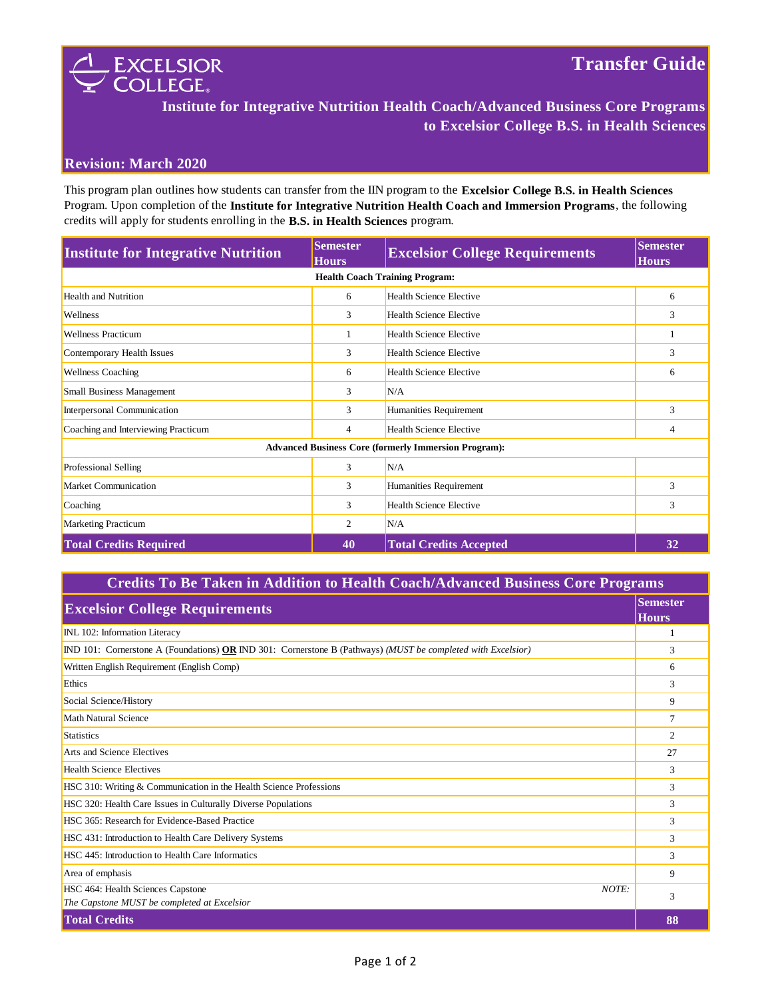

## **Institute for Integrative Nutrition Health Coach/Advanced Business Core Programs to Excelsior College B.S. in Health Sciences**

## **Revision: March 2020**

This program plan outlines how students can transfer from the IIN program to the **Excelsior College B.S. in Health Sciences**  Program. Upon completion of the **Institute for Integrative Nutrition Health Coach and Immersion Programs**, the following credits will apply for students enrolling in the **B.S. in Health Sciences** program.

| <b>Institute for Integrative Nutrition</b>                  | <b>Semester</b><br><b>Hours</b> | <b>Excelsior College Requirements</b> | <b>Semester</b><br><b>Hours</b> |  |
|-------------------------------------------------------------|---------------------------------|---------------------------------------|---------------------------------|--|
| <b>Health Coach Training Program:</b>                       |                                 |                                       |                                 |  |
| <b>Health and Nutrition</b>                                 | 6                               | <b>Health Science Elective</b>        | 6                               |  |
| <b>Wellness</b>                                             | 3                               | <b>Health Science Elective</b>        | 3                               |  |
| <b>Wellness Practicum</b>                                   |                                 | <b>Health Science Elective</b>        |                                 |  |
| Contemporary Health Issues                                  | 3                               | <b>Health Science Elective</b>        | 3                               |  |
| <b>Wellness Coaching</b>                                    | 6                               | <b>Health Science Elective</b>        | 6                               |  |
| <b>Small Business Management</b>                            | 3                               | N/A                                   |                                 |  |
| Interpersonal Communication                                 | 3                               | Humanities Requirement                | 3                               |  |
| Coaching and Interviewing Practicum                         | $\overline{4}$                  | <b>Health Science Elective</b>        | 4                               |  |
| <b>Advanced Business Core (formerly Immersion Program):</b> |                                 |                                       |                                 |  |
| Professional Selling                                        | 3                               | N/A                                   |                                 |  |
| Market Communication                                        | 3                               | Humanities Requirement                | 3                               |  |
| Coaching                                                    | 3                               | <b>Health Science Elective</b>        | 3                               |  |
| Marketing Practicum                                         | 2                               | N/A                                   |                                 |  |
| <b>Total Credits Required</b>                               | 40                              | <b>Total Credits Accepted</b>         | 32                              |  |

## **Credits To Be Taken in Addition to Health Coach/Advanced Business Core Programs**

| <b>Semester</b><br><b>Excelsior College Requirements</b><br><b>Hours</b>                                     |    |
|--------------------------------------------------------------------------------------------------------------|----|
|                                                                                                              |    |
| IND 101: Cornerstone A (Foundations) OR IND 301: Cornerstone B (Pathways) (MUST be completed with Excelsior) |    |
| Written English Requirement (English Comp)                                                                   |    |
| Ethics                                                                                                       | 3  |
| Social Science/History                                                                                       | 9  |
| Math Natural Science                                                                                         | 7  |
| Statistics                                                                                                   | 2  |
| Arts and Science Electives                                                                                   | 27 |
| <b>Health Science Electives</b>                                                                              | 3  |
| HSC 310: Writing & Communication in the Health Science Professions                                           | 3  |
| HSC 320: Health Care Issues in Culturally Diverse Populations                                                | 3  |
| HSC 365: Research for Evidence-Based Practice                                                                | 3  |
| HSC 431: Introduction to Health Care Delivery Systems                                                        | 3  |
| HSC 445: Introduction to Health Care Informatics                                                             | 3  |
| Area of emphasis                                                                                             | 9  |
| HSC 464: Health Sciences Capstone<br>NOTE:                                                                   | 3  |
| The Capstone MUST be completed at Excelsior                                                                  |    |
| <b>Total Credits</b>                                                                                         | 88 |